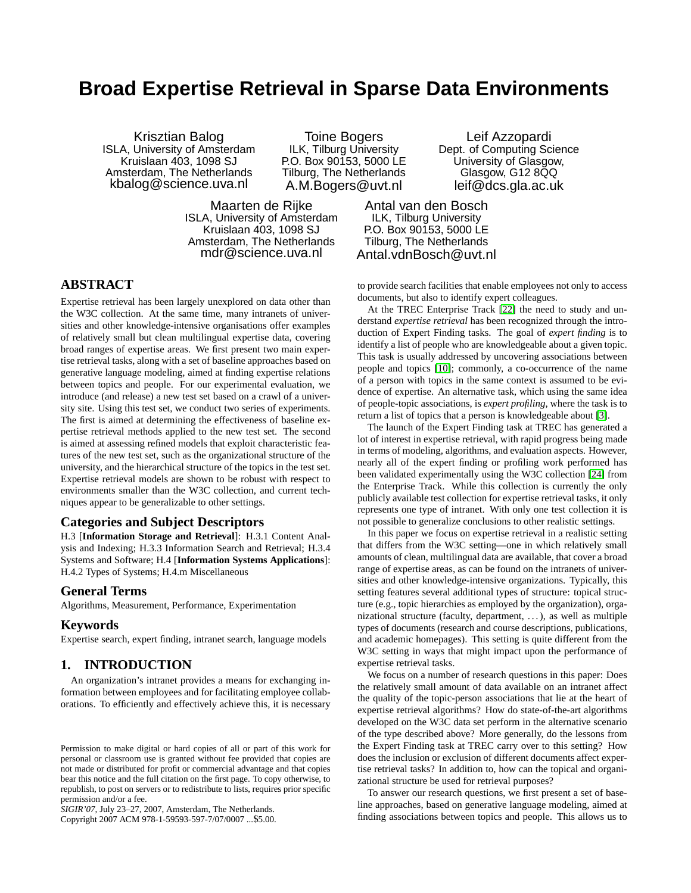# **Broad Expertise Retrieval in Sparse Data Environments**

Krisztian Balog ISLA, University of Amsterdam Kruislaan 403, 1098 SJ Amsterdam, The Netherlands kbalog@science.uva.nl

Toine Bogers ILK, Tilburg University P.O. Box 90153, 5000 LE Tilburg, The Netherlands A.M.Bogers@uvt.nl

Maarten de Rijke ISLA, University of Amsterdam Kruislaan 403, 1098 SJ Amsterdam, The Netherlands mdr@science.uva.nl

Leif Azzopardi Dept. of Computing Science University of Glasgow, Glasgow, G12 8QQ leif@dcs.gla.ac.uk

Antal van den Bosch ILK, Tilburg University P.O. Box 90153, 5000 LE Tilburg, The Netherlands Antal.vdnBosch@uvt.nl

# **ABSTRACT**

Expertise retrieval has been largely unexplored on data other than the W3C collection. At the same time, many intranets of universities and other knowledge-intensive organisations offer examples of relatively small but clean multilingual expertise data, covering broad ranges of expertise areas. We first present two main expertise retrieval tasks, along with a set of baseline approaches based on generative language modeling, aimed at finding expertise relations between topics and people. For our experimental evaluation, we introduce (and release) a new test set based on a crawl of a university site. Using this test set, we conduct two series of experiments. The first is aimed at determining the effectiveness of baseline expertise retrieval methods applied to the new test set. The second is aimed at assessing refined models that exploit characteristic features of the new test set, such as the organizational structure of the university, and the hierarchical structure of the topics in the test set. Expertise retrieval models are shown to be robust with respect to environments smaller than the W3C collection, and current techniques appear to be generalizable to other settings.

# **Categories and Subject Descriptors**

H.3 [**Information Storage and Retrieval**]: H.3.1 Content Analysis and Indexing; H.3.3 Information Search and Retrieval; H.3.4 Systems and Software; H.4 [**Information Systems Applications**]: H.4.2 Types of Systems; H.4.m Miscellaneous

#### **General Terms**

Algorithms, Measurement, Performance, Experimentation

#### **Keywords**

Expertise search, expert finding, intranet search, language models

## **1. INTRODUCTION**

An organization's intranet provides a means for exchanging information between employees and for facilitating employee collaborations. To efficiently and effectively achieve this, it is necessary

*SIGIR'07,* July 23–27, 2007, Amsterdam, The Netherlands.

Copyright 2007 ACM 978-1-59593-597-7/07/0007 ...\$5.00.

to provide search facilities that enable employees not only to access documents, but also to identify expert colleagues.

At the TREC Enterprise Track [\[22\]](#page-7-0) the need to study and understand *expertise retrieval* has been recognized through the introduction of Expert Finding tasks. The goal of *expert finding* is to identify a list of people who are knowledgeable about a given topic. This task is usually addressed by uncovering associations between people and topics [\[10\]](#page-7-1); commonly, a co-occurrence of the name of a person with topics in the same context is assumed to be evidence of expertise. An alternative task, which using the same idea of people-topic associations, is *expert profiling*, where the task is to return a list of topics that a person is knowledgeable about [\[3\]](#page-7-2).

The launch of the Expert Finding task at TREC has generated a lot of interest in expertise retrieval, with rapid progress being made in terms of modeling, algorithms, and evaluation aspects. However, nearly all of the expert finding or profiling work performed has been validated experimentally using the W3C collection [\[24\]](#page-7-3) from the Enterprise Track. While this collection is currently the only publicly available test collection for expertise retrieval tasks, it only represents one type of intranet. With only one test collection it is not possible to generalize conclusions to other realistic settings.

In this paper we focus on expertise retrieval in a realistic setting that differs from the W3C setting—one in which relatively small amounts of clean, multilingual data are available, that cover a broad range of expertise areas, as can be found on the intranets of universities and other knowledge-intensive organizations. Typically, this setting features several additional types of structure: topical structure (e.g., topic hierarchies as employed by the organization), organizational structure (faculty, department, . . . ), as well as multiple types of documents (research and course descriptions, publications, and academic homepages). This setting is quite different from the W3C setting in ways that might impact upon the performance of expertise retrieval tasks.

We focus on a number of research questions in this paper: Does the relatively small amount of data available on an intranet affect the quality of the topic-person associations that lie at the heart of expertise retrieval algorithms? How do state-of-the-art algorithms developed on the W3C data set perform in the alternative scenario of the type described above? More generally, do the lessons from the Expert Finding task at TREC carry over to this setting? How does the inclusion or exclusion of different documents affect expertise retrieval tasks? In addition to, how can the topical and organizational structure be used for retrieval purposes?

To answer our research questions, we first present a set of baseline approaches, based on generative language modeling, aimed at finding associations between topics and people. This allows us to

Permission to make digital or hard copies of all or part of this work for personal or classroom use is granted without fee provided that copies are not made or distributed for profit or commercial advantage and that copies bear this notice and the full citation on the first page. To copy otherwise, to republish, to post on servers or to redistribute to lists, requires prior specific permission and/or a fee.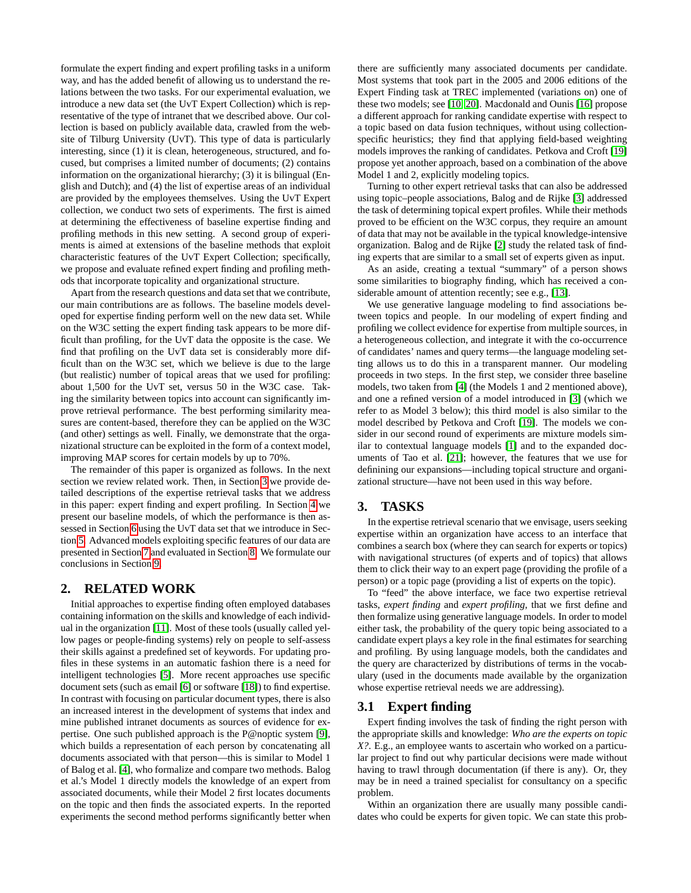formulate the expert finding and expert profiling tasks in a uniform way, and has the added benefit of allowing us to understand the relations between the two tasks. For our experimental evaluation, we introduce a new data set (the UvT Expert Collection) which is representative of the type of intranet that we described above. Our collection is based on publicly available data, crawled from the website of Tilburg University (UvT). This type of data is particularly interesting, since (1) it is clean, heterogeneous, structured, and focused, but comprises a limited number of documents; (2) contains information on the organizational hierarchy; (3) it is bilingual (English and Dutch); and (4) the list of expertise areas of an individual are provided by the employees themselves. Using the UvT Expert collection, we conduct two sets of experiments. The first is aimed at determining the effectiveness of baseline expertise finding and profiling methods in this new setting. A second group of experiments is aimed at extensions of the baseline methods that exploit characteristic features of the UvT Expert Collection; specifically, we propose and evaluate refined expert finding and profiling methods that incorporate topicality and organizational structure.

Apart from the research questions and data set that we contribute, our main contributions are as follows. The baseline models developed for expertise finding perform well on the new data set. While on the W3C setting the expert finding task appears to be more difficult than profiling, for the UvT data the opposite is the case. We find that profiling on the UvT data set is considerably more difficult than on the W3C set, which we believe is due to the large (but realistic) number of topical areas that we used for profiling: about 1,500 for the UvT set, versus 50 in the W3C case. Taking the similarity between topics into account can significantly improve retrieval performance. The best performing similarity measures are content-based, therefore they can be applied on the W3C (and other) settings as well. Finally, we demonstrate that the organizational structure can be exploited in the form of a context model, improving MAP scores for certain models by up to 70%.

The remainder of this paper is organized as follows. In the next section we review related work. Then, in Section [3](#page-1-0) we provide detailed descriptions of the expertise retrieval tasks that we address in this paper: expert finding and expert profiling. In Section [4](#page-2-0) we present our baseline models, of which the performance is then assessed in Section [6](#page-4-0) using the UvT data set that we introduce in Section [5.](#page-3-0) Advanced models exploiting specific features of our data are presented in Section [7](#page-4-1) and evaluated in Section [8.](#page-5-0) We formulate our conclusions in Section [9.](#page-7-4)

#### **2. RELATED WORK**

Initial approaches to expertise finding often employed databases containing information on the skills and knowledge of each individual in the organization [\[11\]](#page-7-5). Most of these tools (usually called yellow pages or people-finding systems) rely on people to self-assess their skills against a predefined set of keywords. For updating profiles in these systems in an automatic fashion there is a need for intelligent technologies [\[5\]](#page-7-6). More recent approaches use specific document sets (such as email [\[6\]](#page-7-7) or software [\[18\]](#page-7-8)) to find expertise. In contrast with focusing on particular document types, there is also an increased interest in the development of systems that index and mine published intranet documents as sources of evidence for expertise. One such published approach is the P@noptic system [\[9\]](#page-7-9), which builds a representation of each person by concatenating all documents associated with that person—this is similar to Model 1 of Balog et al. [\[4\]](#page-7-10), who formalize and compare two methods. Balog et al.'s Model 1 directly models the knowledge of an expert from associated documents, while their Model 2 first locates documents on the topic and then finds the associated experts. In the reported experiments the second method performs significantly better when there are sufficiently many associated documents per candidate. Most systems that took part in the 2005 and 2006 editions of the Expert Finding task at TREC implemented (variations on) one of these two models; see [\[10,](#page-7-1) [20\]](#page-7-11). Macdonald and Ounis [\[16\]](#page-7-12) propose a different approach for ranking candidate expertise with respect to a topic based on data fusion techniques, without using collectionspecific heuristics; they find that applying field-based weighting models improves the ranking of candidates. Petkova and Croft [\[19\]](#page-7-13) propose yet another approach, based on a combination of the above Model 1 and 2, explicitly modeling topics.

Turning to other expert retrieval tasks that can also be addressed using topic–people associations, Balog and de Rijke [\[3\]](#page-7-2) addressed the task of determining topical expert profiles. While their methods proved to be efficient on the W3C corpus, they require an amount of data that may not be available in the typical knowledge-intensive organization. Balog and de Rijke [\[2\]](#page-7-14) study the related task of finding experts that are similar to a small set of experts given as input.

As an aside, creating a textual "summary" of a person shows some similarities to biography finding, which has received a considerable amount of attention recently; see e.g., [\[13\]](#page-7-15).

We use generative language modeling to find associations between topics and people. In our modeling of expert finding and profiling we collect evidence for expertise from multiple sources, in a heterogeneous collection, and integrate it with the co-occurrence of candidates' names and query terms—the language modeling setting allows us to do this in a transparent manner. Our modeling proceeds in two steps. In the first step, we consider three baseline models, two taken from [\[4\]](#page-7-10) (the Models 1 and 2 mentioned above), and one a refined version of a model introduced in [\[3\]](#page-7-2) (which we refer to as Model 3 below); this third model is also similar to the model described by Petkova and Croft [\[19\]](#page-7-13). The models we consider in our second round of experiments are mixture models similar to contextual language models [\[1\]](#page-7-16) and to the expanded documents of Tao et al. [\[21\]](#page-7-17); however, the features that we use for definining our expansions—including topical structure and organizational structure—have not been used in this way before.

## <span id="page-1-0"></span>**3. TASKS**

In the expertise retrieval scenario that we envisage, users seeking expertise within an organization have access to an interface that combines a search box (where they can search for experts or topics) with navigational structures (of experts and of topics) that allows them to click their way to an expert page (providing the profile of a person) or a topic page (providing a list of experts on the topic).

To "feed" the above interface, we face two expertise retrieval tasks, *expert finding* and *expert profiling*, that we first define and then formalize using generative language models. In order to model either task, the probability of the query topic being associated to a candidate expert plays a key role in the final estimates for searching and profiling. By using language models, both the candidates and the query are characterized by distributions of terms in the vocabulary (used in the documents made available by the organization whose expertise retrieval needs we are addressing).

#### **3.1 Expert finding**

Expert finding involves the task of finding the right person with the appropriate skills and knowledge: *Who are the experts on topic X?*. E.g., an employee wants to ascertain who worked on a particular project to find out why particular decisions were made without having to trawl through documentation (if there is any). Or, they may be in need a trained specialist for consultancy on a specific problem.

Within an organization there are usually many possible candidates who could be experts for given topic. We can state this prob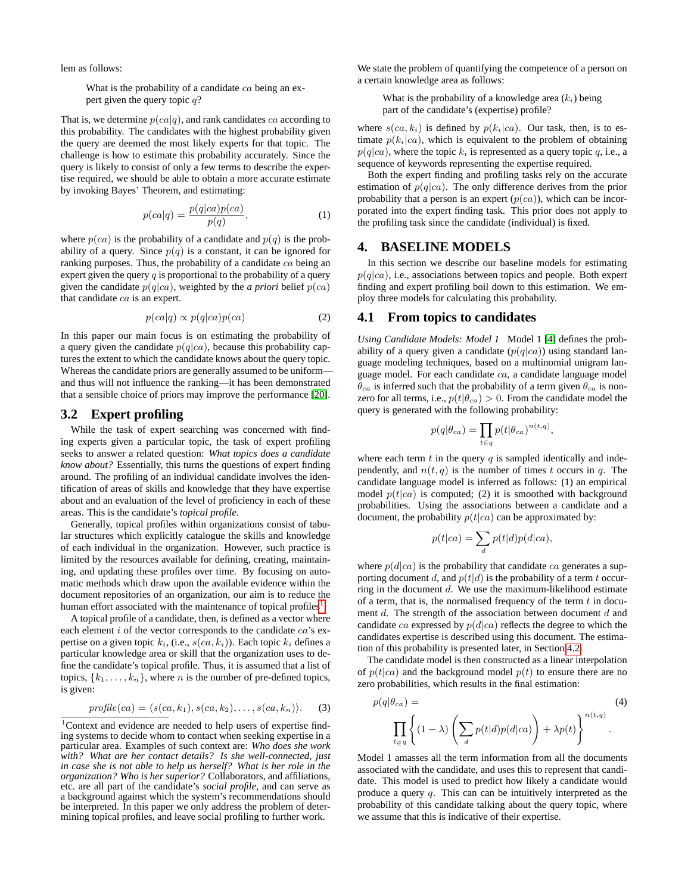lem as follows:

What is the probability of a candidate  $ca$  being an expert given the query topic  $q$ ?

That is, we determine  $p(ca|q)$ , and rank candidates ca according to this probability. The candidates with the highest probability given the query are deemed the most likely experts for that topic. The challenge is how to estimate this probability accurately. Since the query is likely to consist of only a few terms to describe the expertise required, we should be able to obtain a more accurate estimate by invoking Bayes' Theorem, and estimating:

$$
p(ca|q) = \frac{p(q|ca)p(ca)}{p(q)},\tag{1}
$$

where  $p(ca)$  is the probability of a candidate and  $p(q)$  is the probability of a query. Since  $p(q)$  is a constant, it can be ignored for ranking purposes. Thus, the probability of a candidate ca being an expert given the query  $q$  is proportional to the probability of a query given the candidate  $p(q|ca)$ , weighted by the *a priori* belief  $p(ca)$ that candidate ca is an expert.

$$
p(ca|q) \propto p(q|ca)p(ca) \tag{2}
$$

In this paper our main focus is on estimating the probability of a query given the candidate  $p(q|ca)$ , because this probability captures the extent to which the candidate knows about the query topic. Whereas the candidate priors are generally assumed to be uniform and thus will not influence the ranking—it has been demonstrated that a sensible choice of priors may improve the performance [\[20\]](#page-7-11).

## **3.2 Expert profiling**

While the task of expert searching was concerned with finding experts given a particular topic, the task of expert profiling seeks to answer a related question: *What topics does a candidate know about?* Essentially, this turns the questions of expert finding around. The profiling of an individual candidate involves the identification of areas of skills and knowledge that they have expertise about and an evaluation of the level of proficiency in each of these areas. This is the candidate's *topical profile*.

Generally, topical profiles within organizations consist of tabular structures which explicitly catalogue the skills and knowledge of each individual in the organization. However, such practice is limited by the resources available for defining, creating, maintaining, and updating these profiles over time. By focusing on automatic methods which draw upon the available evidence within the document repositories of an organization, our aim is to reduce the human effort associated with the maintenance of topical profiles<sup>[1](#page-2-1)</sup>.

A topical profile of a candidate, then, is defined as a vector where each element  $i$  of the vector corresponds to the candidate  $ca$ 's expertise on a given topic  $k_i$ , (i.e.,  $s(ca, k_i)$ ). Each topic  $k_i$  defines a particular knowledge area or skill that the organization uses to define the candidate's topical profile. Thus, it is assumed that a list of topics,  $\{k_1, \ldots, k_n\}$ , where *n* is the number of pre-defined topics, is given:

$$
profile(ca) = \langle s(ca, k_1), s(ca, k_2), \dots, s(ca, k_n) \rangle.
$$
 (3)

<span id="page-2-1"></span><sup>1</sup>Context and evidence are needed to help users of expertise finding systems to decide whom to contact when seeking expertise in a particular area. Examples of such context are: *Who does she work with? What are her contact details? Is she well-connected, just in case she is not able to help us herself? What is her role in the organization? Who is her superior?* Collaborators, and affiliations, etc. are all part of the candidate's *social profile*, and can serve as a background against which the system's recommendations should be interpreted. In this paper we only address the problem of determining topical profiles, and leave social profiling to further work.

We state the problem of quantifying the competence of a person on a certain knowledge area as follows:

What is the probability of a knowledge area  $(k_i)$  being part of the candidate's (expertise) profile?

where  $s(ca, k_i)$  is defined by  $p(k_i|ca)$ . Our task, then, is to estimate  $p(k_i|ca)$ , which is equivalent to the problem of obtaining  $p(q|ca)$ , where the topic  $k_i$  is represented as a query topic q, i.e., a sequence of keywords representing the expertise required.

Both the expert finding and profiling tasks rely on the accurate estimation of  $p(q|ca)$ . The only difference derives from the prior probability that a person is an expert  $(p(ca))$ , which can be incorporated into the expert finding task. This prior does not apply to the profiling task since the candidate (individual) is fixed.

## <span id="page-2-0"></span>**4. BASELINE MODELS**

In this section we describe our baseline models for estimating  $p(q|ca)$ , i.e., associations between topics and people. Both expert finding and expert profiling boil down to this estimation. We employ three models for calculating this probability.

#### **4.1 From topics to candidates**

*Using Candidate Models: Model 1* Model 1 [\[4\]](#page-7-10) defines the probability of a query given a candidate  $(p(q|ca))$  using standard language modeling techniques, based on a multinomial unigram language model. For each candidate  $ca$ , a candidate language model  $\theta_{ca}$  is inferred such that the probability of a term given  $\theta_{ca}$  is nonzero for all terms, i.e.,  $p(t|\theta_{ca}) > 0$ . From the candidate model the query is generated with the following probability:

$$
p(q|\theta_{ca}) = \prod_{t \in q} p(t|\theta_{ca})^{n(t,q)},
$$

where each term  $t$  in the query  $q$  is sampled identically and independently, and  $n(t, q)$  is the number of times t occurs in q. The candidate language model is inferred as follows: (1) an empirical model  $p(t|ca)$  is computed; (2) it is smoothed with background probabilities. Using the associations between a candidate and a document, the probability  $p(t|ca)$  can be approximated by:

$$
p(t|ca) = \sum_{d} p(t|d)p(d|ca),
$$

where  $p(d|ca)$  is the probability that candidate ca generates a supporting document d, and  $p(t|d)$  is the probability of a term t occurring in the document  $d$ . We use the maximum-likelihood estimate of a term, that is, the normalised frequency of the term  $t$  in document d. The strength of the association between document d and candidate ca expressed by  $p(d|ca)$  reflects the degree to which the candidates expertise is described using this document. The estimation of this probability is presented later, in Section [4.2.](#page-3-1)

The candidate model is then constructed as a linear interpolation of  $p(t|ca)$  and the background model  $p(t)$  to ensure there are no zero probabilities, which results in the final estimation:

<span id="page-2-2"></span>
$$
p(q|\theta_{ca}) = \prod_{t \in q} \left\{ (1-\lambda) \left( \sum_{d} p(t|d)p(d|ca) \right) + \lambda p(t) \right\}^{n(t,q)}.
$$
 (4)

Model 1 amasses all the term information from all the documents associated with the candidate, and uses this to represent that candidate. This model is used to predict how likely a candidate would produce a query q. This can can be intuitively interpreted as the probability of this candidate talking about the query topic, where we assume that this is indicative of their expertise.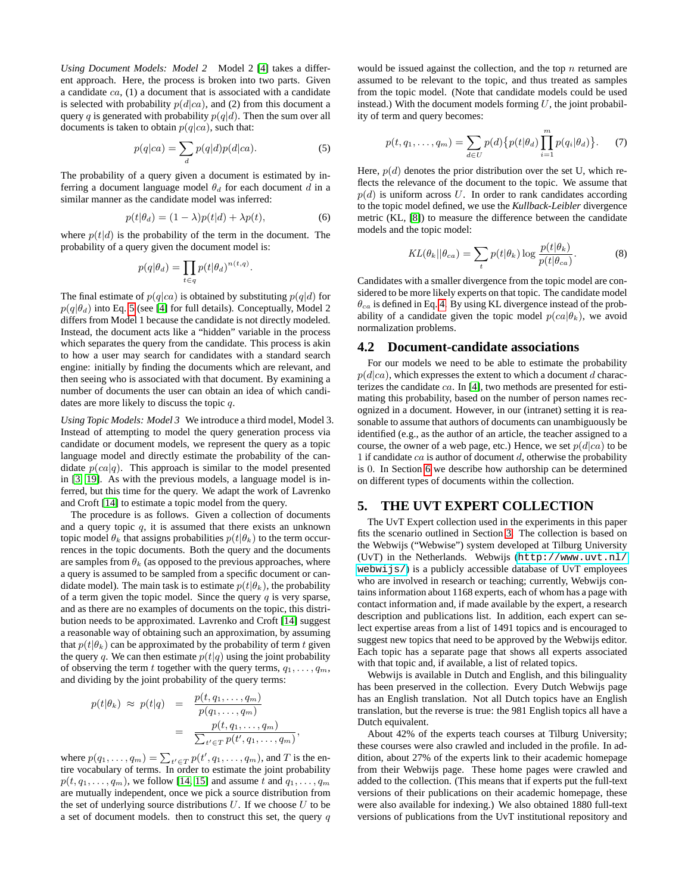*Using Document Models: Model 2* Model 2 [\[4\]](#page-7-10) takes a different approach. Here, the process is broken into two parts. Given a candidate  $ca$ ,  $(1)$  a document that is associated with a candidate is selected with probability  $p(d|ca)$ , and (2) from this document a query q is generated with probability  $p(q|d)$ . Then the sum over all documents is taken to obtain  $p(q|ca)$ , such that:

<span id="page-3-2"></span>
$$
p(q|ca) = \sum_{d} p(q|d)p(d|ca).
$$
 (5)

The probability of a query given a document is estimated by inferring a document language model  $\theta_d$  for each document d in a similar manner as the candidate model was inferred:

$$
p(t|\theta_d) = (1 - \lambda)p(t|d) + \lambda p(t), \tag{6}
$$

where  $p(t|d)$  is the probability of the term in the document. The probability of a query given the document model is:

<span id="page-3-4"></span>
$$
p(q|\theta_d) = \prod_{t \in q} p(t|\theta_d)^{n(t,q)}.
$$

The final estimate of  $p(q|ca)$  is obtained by substituting  $p(q|d)$  for  $p(q|\theta_d)$  into Eq. [5](#page-3-2) (see [\[4\]](#page-7-10) for full details). Conceptually, Model 2 differs from Model 1 because the candidate is not directly modeled. Instead, the document acts like a "hidden" variable in the process which separates the query from the candidate. This process is akin to how a user may search for candidates with a standard search engine: initially by finding the documents which are relevant, and then seeing who is associated with that document. By examining a number of documents the user can obtain an idea of which candidates are more likely to discuss the topic q.

*Using Topic Models: Model 3* We introduce a third model, Model 3. Instead of attempting to model the query generation process via candidate or document models, we represent the query as a topic language model and directly estimate the probability of the candidate  $p(ca|q)$ . This approach is similar to the model presented in [\[3,](#page-7-2) [19\]](#page-7-13). As with the previous models, a language model is inferred, but this time for the query. We adapt the work of Lavrenko and Croft [\[14\]](#page-7-18) to estimate a topic model from the query.

The procedure is as follows. Given a collection of documents and a query topic  $q$ , it is assumed that there exists an unknown topic model  $\theta_k$  that assigns probabilities  $p(t|\theta_k)$  to the term occurrences in the topic documents. Both the query and the documents are samples from  $\theta_k$  (as opposed to the previous approaches, where a query is assumed to be sampled from a specific document or candidate model). The main task is to estimate  $p(t|\theta_k)$ , the probability of a term given the topic model. Since the query q is very sparse, and as there are no examples of documents on the topic, this distribution needs to be approximated. Lavrenko and Croft [\[14\]](#page-7-18) suggest a reasonable way of obtaining such an approximation, by assuming that  $p(t|\theta_k)$  can be approximated by the probability of term t given the query q. We can then estimate  $p(t|q)$  using the joint probability of observing the term t together with the query terms,  $q_1, \ldots, q_m$ , and dividing by the joint probability of the query terms:

$$
p(t|\theta_k) \approx p(t|q) = \frac{p(t, q_1, \dots, q_m)}{p(q_1, \dots, q_m)}
$$

$$
= \frac{p(t, q_1, \dots, q_m)}{\sum_{t' \in T} p(t', q_1, \dots, q_m)}
$$

,

where  $p(q_1, \ldots, q_m) = \sum_{t' \in T} p(t', q_1, \ldots, q_m)$ , and T is the entire vocabulary of terms. In order to estimate the joint probability  $p(t, q_1, \ldots, q_m)$ , we follow [\[14,](#page-7-18) [15\]](#page-7-19) and assume t and  $q_1, \ldots, q_m$ are mutually independent, once we pick a source distribution from the set of underlying source distributions  $U$ . If we choose  $U$  to be a set of document models. then to construct this set, the query  $q$  would be issued against the collection, and the top  $n$  returned are assumed to be relevant to the topic, and thus treated as samples from the topic model. (Note that candidate models could be used instead.) With the document models forming  $U$ , the joint probability of term and query becomes:

$$
p(t, q_1, \dots, q_m) = \sum_{d \in U} p(d) \{ p(t | \theta_d) \prod_{i=1}^m p(q_i | \theta_d) \}.
$$
 (7)

Here,  $p(d)$  denotes the prior distribution over the set U, which reflects the relevance of the document to the topic. We assume that  $p(d)$  is uniform across U. In order to rank candidates according to the topic model defined, we use the *Kullback-Leibler* divergence metric (KL, [\[8\]](#page-7-20)) to measure the difference between the candidate models and the topic model:

<span id="page-3-3"></span>
$$
KL(\theta_k || \theta_{ca}) = \sum_t p(t | \theta_k) \log \frac{p(t | \theta_k)}{p(t | \theta_{ca})}.
$$
 (8)

Candidates with a smaller divergence from the topic model are considered to be more likely experts on that topic. The candidate model  $\theta_{ca}$  is defined in Eq. [4.](#page-2-2) By using KL divergence instead of the probability of a candidate given the topic model  $p(ca|\theta_k)$ , we avoid normalization problems.

#### <span id="page-3-1"></span>**4.2 Document-candidate associations**

For our models we need to be able to estimate the probability  $p(d|ca)$ , which expresses the extent to which a document d characterizes the candidate  $ca$ . In [\[4\]](#page-7-10), two methods are presented for estimating this probability, based on the number of person names recognized in a document. However, in our (intranet) setting it is reasonable to assume that authors of documents can unambiguously be identified (e.g., as the author of an article, the teacher assigned to a course, the owner of a web page, etc.) Hence, we set  $p(d|ca)$  to be 1 if candidate  $ca$  is author of document  $d$ , otherwise the probability is 0. In Section [6](#page-4-0) we describe how authorship can be determined on different types of documents within the collection.

#### <span id="page-3-0"></span>**5. THE UVT EXPERT COLLECTION**

The UvT Expert collection used in the experiments in this paper fits the scenario outlined in Section [3.](#page-1-0) The collection is based on the Webwijs ("Webwise") system developed at Tilburg University (UvT) in the Netherlands. Webwijs ([http://www.uvt.nl/](http://www.uvt.nl/webwijs/) [webwijs/](http://www.uvt.nl/webwijs/)) is a publicly accessible database of UvT employees who are involved in research or teaching; currently, Webwijs contains information about 1168 experts, each of whom has a page with contact information and, if made available by the expert, a research description and publications list. In addition, each expert can select expertise areas from a list of 1491 topics and is encouraged to suggest new topics that need to be approved by the Webwijs editor. Each topic has a separate page that shows all experts associated with that topic and, if available, a list of related topics.

Webwijs is available in Dutch and English, and this bilinguality has been preserved in the collection. Every Dutch Webwijs page has an English translation. Not all Dutch topics have an English translation, but the reverse is true: the 981 English topics all have a Dutch equivalent.

About 42% of the experts teach courses at Tilburg University; these courses were also crawled and included in the profile. In addition, about 27% of the experts link to their academic homepage from their Webwijs page. These home pages were crawled and added to the collection. (This means that if experts put the full-text versions of their publications on their academic homepage, these were also available for indexing.) We also obtained 1880 full-text versions of publications from the UvT institutional repository and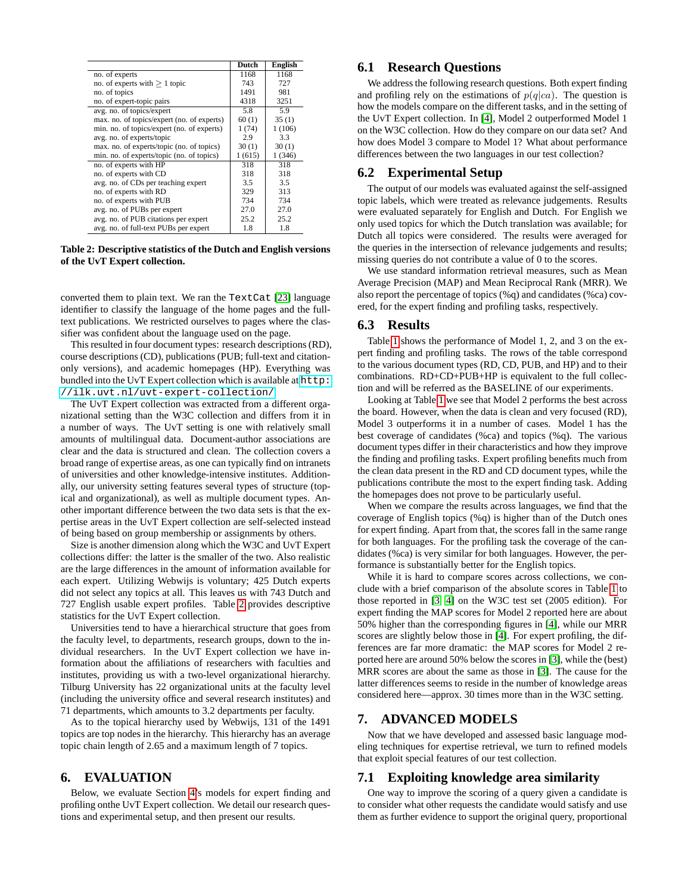|                                            | Dutch  | <b>English</b> |
|--------------------------------------------|--------|----------------|
| no. of experts                             | 1168   | 1168           |
| no. of experts with $> 1$ topic            | 743    | 727            |
| no. of topics                              | 1491   | 981            |
| no. of expert-topic pairs                  | 4318   | 3251           |
| avg. no. of topics/expert                  | 5.8    | 5.9            |
| max. no. of topics/expert (no. of experts) | 60(1)  | 35(1)          |
| min. no. of topics/expert (no. of experts) | 1(74)  | 1(106)         |
| avg. no. of experts/topic                  | 2.9    | 3.3            |
| max. no. of experts/topic (no. of topics)  | 30(1)  | 30(1)          |
| min. no. of experts/topic (no. of topics)  | 1(615) | 1(346)         |
| no. of experts with HP                     | 318    | 318            |
| no. of experts with CD                     | 318    | 318            |
| avg. no. of CDs per teaching expert        | 3.5    | 3.5            |
| no. of experts with RD                     | 329    | 313            |
| no. of experts with PUB                    | 734    | 734            |
| avg. no. of PUBs per expert                | 27.0   | 27.0           |
| avg. no. of PUB citations per expert       | 25.2   | 25.2           |
| avg. no. of full-text PUBs per expert      | 1.8    | 1.8            |

<span id="page-4-2"></span>**Table 2: Descriptive statistics of the Dutch and English versions of the UvT Expert collection.**

converted them to plain text. We ran the TextCat [\[23\]](#page-7-21) language identifier to classify the language of the home pages and the fulltext publications. We restricted ourselves to pages where the classifier was confident about the language used on the page.

This resulted in four document types: research descriptions (RD), course descriptions (CD), publications (PUB; full-text and citationonly versions), and academic homepages (HP). Everything was bundled into the UvT Expert collection which is available at [http:](http://ilk.uvt.nl/uvt-expert-collection/) [//ilk.uvt.nl/uvt-expert-collection/](http://ilk.uvt.nl/uvt-expert-collection/).

The UvT Expert collection was extracted from a different organizational setting than the W3C collection and differs from it in a number of ways. The UvT setting is one with relatively small amounts of multilingual data. Document-author associations are clear and the data is structured and clean. The collection covers a broad range of expertise areas, as one can typically find on intranets of universities and other knowledge-intensive institutes. Additionally, our university setting features several types of structure (topical and organizational), as well as multiple document types. Another important difference between the two data sets is that the expertise areas in the UvT Expert collection are self-selected instead of being based on group membership or assignments by others.

Size is another dimension along which the W3C and UvT Expert collections differ: the latter is the smaller of the two. Also realistic are the large differences in the amount of information available for each expert. Utilizing Webwijs is voluntary; 425 Dutch experts did not select any topics at all. This leaves us with 743 Dutch and 727 English usable expert profiles. Table [2](#page-4-2) provides descriptive statistics for the UvT Expert collection.

Universities tend to have a hierarchical structure that goes from the faculty level, to departments, research groups, down to the individual researchers. In the UvT Expert collection we have information about the affiliations of researchers with faculties and institutes, providing us with a two-level organizational hierarchy. Tilburg University has 22 organizational units at the faculty level (including the university office and several research institutes) and 71 departments, which amounts to 3.2 departments per faculty.

As to the topical hierarchy used by Webwijs, 131 of the 1491 topics are top nodes in the hierarchy. This hierarchy has an average topic chain length of 2.65 and a maximum length of 7 topics.

#### <span id="page-4-0"></span>**6. EVALUATION**

Below, we evaluate Section [4'](#page-2-0)s models for expert finding and profiling onthe UvT Expert collection. We detail our research questions and experimental setup, and then present our results.

## **6.1 Research Questions**

We address the following research questions. Both expert finding and profiling rely on the estimations of  $p(q|ca)$ . The question is how the models compare on the different tasks, and in the setting of the UvT Expert collection. In [\[4\]](#page-7-10), Model 2 outperformed Model 1 on the W3C collection. How do they compare on our data set? And how does Model 3 compare to Model 1? What about performance differences between the two languages in our test collection?

## **6.2 Experimental Setup**

The output of our models was evaluated against the self-assigned topic labels, which were treated as relevance judgements. Results were evaluated separately for English and Dutch. For English we only used topics for which the Dutch translation was available; for Dutch all topics were considered. The results were averaged for the queries in the intersection of relevance judgements and results; missing queries do not contribute a value of 0 to the scores.

We use standard information retrieval measures, such as Mean Average Precision (MAP) and Mean Reciprocal Rank (MRR). We also report the percentage of topics (%q) and candidates (%ca) covered, for the expert finding and profiling tasks, respectively.

#### **6.3 Results**

Table [1](#page-5-1) shows the performance of Model 1, 2, and 3 on the expert finding and profiling tasks. The rows of the table correspond to the various document types (RD, CD, PUB, and HP) and to their combinations. RD+CD+PUB+HP is equivalent to the full collection and will be referred as the BASELINE of our experiments.

Looking at Table [1](#page-5-1) we see that Model 2 performs the best across the board. However, when the data is clean and very focused (RD), Model 3 outperforms it in a number of cases. Model 1 has the best coverage of candidates (%ca) and topics (%q). The various document types differ in their characteristics and how they improve the finding and profiling tasks. Expert profiling benefits much from the clean data present in the RD and CD document types, while the publications contribute the most to the expert finding task. Adding the homepages does not prove to be particularly useful.

When we compare the results across languages, we find that the coverage of English topics (%q) is higher than of the Dutch ones for expert finding. Apart from that, the scores fall in the same range for both languages. For the profiling task the coverage of the candidates (%ca) is very similar for both languages. However, the performance is substantially better for the English topics.

While it is hard to compare scores across collections, we conclude with a brief comparison of the absolute scores in Table [1](#page-5-1) to those reported in [\[3,](#page-7-2) [4\]](#page-7-10) on the W3C test set (2005 edition). For expert finding the MAP scores for Model 2 reported here are about 50% higher than the corresponding figures in [\[4\]](#page-7-10), while our MRR scores are slightly below those in [\[4\]](#page-7-10). For expert profiling, the differences are far more dramatic: the MAP scores for Model 2 reported here are around 50% below the scores in [\[3\]](#page-7-2), while the (best) MRR scores are about the same as those in [\[3\]](#page-7-2). The cause for the latter differences seems to reside in the number of knowledge areas considered here—approx. 30 times more than in the W3C setting.

## <span id="page-4-1"></span>**7. ADVANCED MODELS**

Now that we have developed and assessed basic language modeling techniques for expertise retrieval, we turn to refined models that exploit special features of our test collection.

#### **7.1 Exploiting knowledge area similarity**

One way to improve the scoring of a query given a candidate is to consider what other requests the candidate would satisfy and use them as further evidence to support the original query, proportional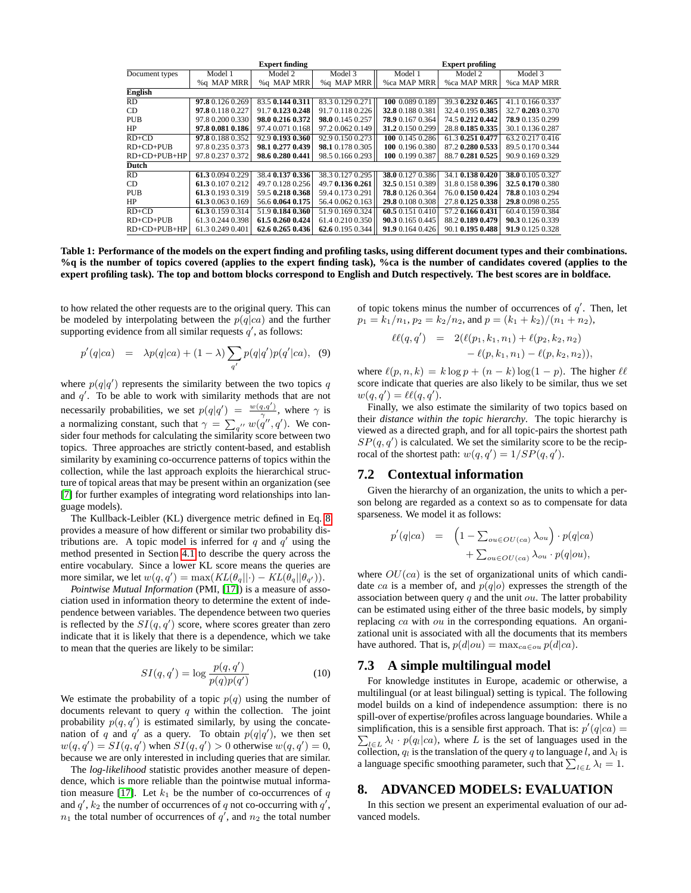|                |                  | <b>Expert finding</b> |                  |                  | <b>Expert profiling</b> |                  |
|----------------|------------------|-----------------------|------------------|------------------|-------------------------|------------------|
| Document types | Model 1          | Model 2               | Model 3          | Model 1          | Model 2                 | Model 3          |
|                | %q MAP MRR       | %g MAP MRR            | %q MAP MRR       | %ca MAP MRR      | %ca MAP MRR             | %ca MAP MRR      |
| <b>English</b> |                  |                       |                  |                  |                         |                  |
| <b>RD</b>      | 97.8 0.126 0.269 | 83.5 0.144 0.311      | 83.3 0.129 0.271 | 100 0.089 0.189  | 39.3 0.232 0.465        | 41.1 0.166 0.337 |
| CD             | 97.8 0.118 0.227 | 91.70.1230.248        | 91.7 0.118 0.226 | 32.8 0.188 0.381 | 32.4 0.195 0.385        | 32.7 0.203 0.370 |
| <b>PUB</b>     | 97.8 0.200 0.330 | 98.0 0.216 0.372      | 98.0 0.145 0.257 | 78.9 0.167 0.364 | 74.5 0.212 0.442        | 78.9 0.135 0.299 |
| HP             | 97.8 0.081 0.186 | 97.4 0.071 0.168      | 97.2 0.062 0.149 | 31.2 0.150 0.299 | 28.8 0.185 0.335        | 30.1 0.136 0.287 |
| $RD+CD$        | 97.8 0.188 0.352 | 92.9 0.193 0.360      | 92.9 0.150 0.273 | 100 0.145 0.286  | 61.3 0.251 0.477        | 63.20.2170.416   |
| $RD+CD+PI$ JB  | 97.8 0.235 0.373 | 98.1 0.277 0.439      | 98.1 0.178 0.305 | 100 0.196 0.380  | 87.20.2800.533          | 89.5 0.170 0.344 |
| $RD+CD+PUB+HP$ | 97.8 0.237 0.372 | 98.6 0.280 0.441      | 98.5 0.166 0.293 | 100 0.199 0.387  | 88.7 0.281 0.525        | 90.9 0.169 0.329 |
| <b>Dutch</b>   |                  |                       |                  |                  |                         |                  |
| <b>RD</b>      | 61.3 0.094 0.229 | 38.4 0.137 0.336      | 38.3 0.127 0.295 | 38.0 0.127 0.386 | 34.1 0.138 0.420        | 38.0 0.105 0.327 |
| CD             | 61.3 0.107 0.212 | 49.70.1280.256        | 49.7 0.136 0.261 | 32.5 0.151 0.389 | 31.8 0.158 0.396        | 32.5 0.170 0.380 |
| <b>PUB</b>     | 61.3 0.193 0.319 | 59.5 0.218 0.368      | 59.4 0.173 0.291 | 78.8 0.126 0.364 | 76.0 0.150 0.424        | 78.8 0.103 0.294 |
| HP             | 61.3 0.063 0.169 | 56.6 0.064 0.175      | 56.4 0.062 0.163 | 29.8 0.108 0.308 | 27.8 0.125 0.338        | 29.8 0.098 0.255 |
| $RD+CD$        | 61.3 0.159 0.314 | 51.90.1840.360        | 51.9 0.169 0.324 | 60.5 0.151 0.410 | 57.2 0.166 0.431        | 60.4 0.159 0.384 |
| $RD+CD+PI$ JB  | 61.3 0.244 0.398 | 61.5 0.260 0.424      | 61.4 0.210 0.350 | 90.30.1650.445   | 88.2 0.189 0.479        | 90.3 0.126 0.339 |
| $RD+CD+PUB+HP$ | 61.3 0.249 0.401 | 62.6 0.265 0.436      | 62.6 0.195 0.344 | 91.9 0.164 0.426 | 90.1 0.195 0.488        | 91.9 0.125 0.328 |

<span id="page-5-1"></span>**Table 1: Performance of the models on the expert finding and profiling tasks, using different document types and their combinations. %q is the number of topics covered (applies to the expert finding task), %ca is the number of candidates covered (applies to the expert profiling task). The top and bottom blocks correspond to English and Dutch respectively. The best scores are in boldface.**

to how related the other requests are to the original query. This can be modeled by interpolating between the  $p(q|ca)$  and the further supporting evidence from all similar requests  $q'$ , as follows:

$$
p'(q|ca) = \lambda p(q|ca) + (1-\lambda) \sum_{q'} p(q|q')p(q'|ca),
$$
 (9)

where  $p(q|q')$  represents the similarity between the two topics q and  $q'$ . To be able to work with similarity methods that are not necessarily probabilities, we set  $p(q|q') = \frac{w(q,q')}{\gamma}$ , where  $\gamma$  is a normalizing constant, such that  $\gamma = \sum_{q''} w(q'', q')$ . We consider four methods for calculating the similarity score between two topics. Three approaches are strictly content-based, and establish similarity by examining co-occurrence patterns of topics within the collection, while the last approach exploits the hierarchical structure of topical areas that may be present within an organization (see [\[7\]](#page-7-22) for further examples of integrating word relationships into language models).

The Kullback-Leibler (KL) divergence metric defined in Eq. [8](#page-3-3) provides a measure of how different or similar two probability distributions are. A topic model is inferred for q and  $q'$  using the method presented in Section [4.1](#page-3-4) to describe the query across the entire vocabulary. Since a lower KL score means the queries are more similar, we let  $w(q, q') = \max(KL(\theta_q||\cdot) - KL(\theta_q||\theta_{q'})).$ 

*Pointwise Mutual Information* (PMI, [\[17\]](#page-7-23)) is a measure of association used in information theory to determine the extent of independence between variables. The dependence between two queries is reflected by the  $SI(q, q')$  score, where scores greater than zero indicate that it is likely that there is a dependence, which we take to mean that the queries are likely to be similar:

$$
SI(q, q') = \log \frac{p(q, q')}{p(q)p(q')}
$$
 (10)

We estimate the probability of a topic  $p(q)$  using the number of documents relevant to query  $q$  within the collection. The joint probability  $p(q, q')$  is estimated similarly, by using the concatenation of q and q' as a query. To obtain  $p(q|q')$ , we then set  $w(q, q') = SI(q, q')$  when  $SI(q, q') > 0$  otherwise  $w(q, q') = 0$ , because we are only interested in including queries that are similar.

The *log-likelihood* statistic provides another measure of dependence, which is more reliable than the pointwise mutual informa-tion measure [\[17\]](#page-7-23). Let  $k_1$  be the number of co-occurrences of q and  $q'$ ,  $k_2$  the number of occurrences of q not co-occurring with  $q'$ ,  $n_1$  the total number of occurrences of  $q'$ , and  $n_2$  the total number

of topic tokens minus the number of occurrences of  $q'$ . Then, let  $p_1 = k_1/n_1$ ,  $p_2 = k_2/n_2$ , and  $p = (k_1 + k_2)/(n_1 + n_2)$ ,

$$
\ell\ell(q,q') = 2(\ell(p_1,k_1,n_1) + \ell(p_2,k_2,n_2) - \ell(p,k_1,n_1) - \ell(p,k_2,n_2)),
$$

where  $\ell(p, n, k) = k \log p + (n - k) \log(1 - p)$ . The higher  $\ell\ell$ score indicate that queries are also likely to be similar, thus we set  $w(q,q') = \ell \ell(q,q').$ 

Finally, we also estimate the similarity of two topics based on their *distance within the topic hierarchy*. The topic hierarchy is viewed as a directed graph, and for all topic-pairs the shortest path  $SP(q, q')$  is calculated. We set the similarity score to be the reciprocal of the shortest path:  $w(q, q') = 1/SP(q, q')$ .

#### **7.2 Contextual information**

Given the hierarchy of an organization, the units to which a person belong are regarded as a context so as to compensate for data sparseness. We model it as follows:

$$
p'(q|ca) = \left(1 - \sum_{ou \in OU(ca)} \lambda_{ou}\right) \cdot p(q|ca) + \sum_{ou \in OU(ca)} \lambda_{ou} \cdot p(q|ou),
$$

where  $OU(ca)$  is the set of organizational units of which candidate ca is a member of, and  $p(q|o)$  expresses the strength of the association between query  $q$  and the unit ou. The latter probability can be estimated using either of the three basic models, by simply replacing ca with ou in the corresponding equations. An organizational unit is associated with all the documents that its members have authored. That is,  $p(d|ou) = \max_{ca \in ou} p(d|ca)$ .

#### <span id="page-5-2"></span>**7.3 A simple multilingual model**

For knowledge institutes in Europe, academic or otherwise, a multilingual (or at least bilingual) setting is typical. The following model builds on a kind of independence assumption: there is no spill-over of expertise/profiles across language boundaries. While a simplification, this is a sensible first approach. That is:  $p'(q|ca) =$  $\sum_{l \in L} \lambda_l \cdot p(q_l|ca)$ , where L is the set of languages used in the collection,  $q_l$  is the translation of the query q to language l, and  $\lambda_l$  is a language specific smoothing parameter, such that  $\sum_{l \in L} \lambda_l = 1$ .

## <span id="page-5-0"></span>**8. ADVANCED MODELS: EVALUATION**

In this section we present an experimental evaluation of our advanced models.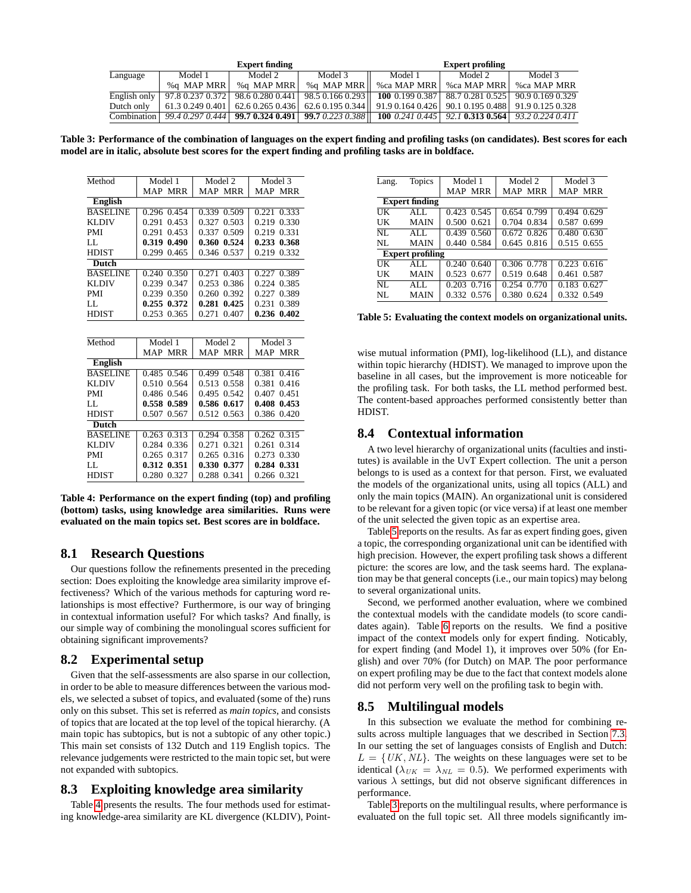| <b>Expert finding</b> |                  |                  | <b>Expert profiling</b>                     |                  |                                     |                  |
|-----------------------|------------------|------------------|---------------------------------------------|------------------|-------------------------------------|------------------|
| Language              | Model 1          | Model 2          | Model 3                                     | Model 1          | Model 2                             | Model 3          |
|                       | %a MAP MRR       | %a MAP MRR       | %a MAP MRR                                  | %ca MAP MRR      | %ca MAP MRR                         | %ca MAP MRR      |
| English only          | 97.8 0.237 0.372 | 98.6 0.280 0.441 | 98.50.1660.293                              | 1000.1990.387    | 88.7 0.281 0.525                    | 90.9 0.169 0.329 |
| Dutch only            | 61.3 0.249 0.401 |                  | $62.60.2650.436$ 62.60.1950.344             | 91.90.1640.426   | 90.1 0.195 0.488   91.9 0.125 0.328 |                  |
| Combination           | 99.4 0.297 0.444 |                  | $\vert$ 99.7 0.324 0.491   99.7 0.223 0.388 | 100 $0.2410.445$ | 92.1 0.313 0.564 93.2 0.224 0.411   |                  |

<span id="page-6-2"></span>**Table 3: Performance of the combination of languages on the expert finding and profiling tasks (on candidates). Best scores for each model are in italic, absolute best scores for the expert finding and profiling tasks are in boldface.**

| Method          | Model 1        | Model 2        | Model 3        |  |  |
|-----------------|----------------|----------------|----------------|--|--|
|                 | <b>MAP MRR</b> | <b>MAP MRR</b> | MAP MRR        |  |  |
| English         |                |                |                |  |  |
| <b>BASELINE</b> | 0.296 0.454    | 0.339 0.509    | 0.221 0.333    |  |  |
| KLDIV           | 0.291<br>0.453 | 0.327<br>0.503 | 0.219 0.330    |  |  |
| PMI             | 0.291<br>0.453 | 0.509<br>0.337 | 0.219<br>0.331 |  |  |
| LL.             | 0.319 0.490    | 0.360 0.524    | 0.233 0.368    |  |  |
| HDIST           | 0.299<br>0.465 | 0.346<br>0.537 | 0.219<br>0.332 |  |  |
| <b>Dutch</b>    |                |                |                |  |  |
| <b>BASELINE</b> | 0.240 0.350    | 0.271 0.403    | 0.227 0.389    |  |  |
| KLDIV           | 0.239<br>0.347 | 0.253<br>0.386 | 0.224 0.385    |  |  |
| PMI             | 0.239<br>0.350 | 0.260<br>0.392 | 0.227<br>0.389 |  |  |
| LL              | 0.255<br>0.372 | 0.425<br>0.281 | 0.231<br>0.389 |  |  |
| HDIST           | 0.253<br>0.365 | 0.407<br>0.271 | 0.236 0.402    |  |  |
|                 |                |                |                |  |  |
|                 |                |                |                |  |  |
| Method          | Model 1        | Model 2        | Model 3        |  |  |
|                 | <b>MAP MRR</b> | <b>MAP MRR</b> | <b>MAP MRR</b> |  |  |
| English         |                |                |                |  |  |
| <b>BASELINE</b> | 0.485 0.546    | 0.499 0.548    | 0.381 0.416    |  |  |
| KLDIV           | 0.510<br>0.564 | 0.513<br>0.558 | 0.381<br>0.416 |  |  |
| PMI             | 0.486 0.546    | 0.495 0.542    | 0.407 0.451    |  |  |
| LL              | 0.589<br>0.558 | 0.586 0.617    | 0.408<br>0.453 |  |  |
| HDIST           | 0.507<br>0.567 | 0.512 0.563    | 0.386 0.420    |  |  |
| <b>Dutch</b>    |                |                |                |  |  |
| <b>BASELINE</b> | 0.263 0.313    | 0.294<br>0.358 | 0.262 0.315    |  |  |
| KLDIV           | 0.284<br>0.336 | 0.271<br>0.321 | 0.261<br>0.314 |  |  |
| PMI             | 0.265<br>0.317 | 0.265<br>0.316 | 0.330<br>0.273 |  |  |
| LL.             | 0.312<br>0.351 | 0.330<br>0.377 | 0.331<br>0.284 |  |  |
| HDIST           | 0.280<br>0.327 | 0.288<br>0.341 | 0.266 0.321    |  |  |

<span id="page-6-0"></span>**Table 4: Performance on the expert finding (top) and profiling (bottom) tasks, using knowledge area similarities. Runs were evaluated on the main topics set. Best scores are in boldface.**

## **8.1 Research Questions**

Our questions follow the refinements presented in the preceding section: Does exploiting the knowledge area similarity improve effectiveness? Which of the various methods for capturing word relationships is most effective? Furthermore, is our way of bringing in contextual information useful? For which tasks? And finally, is our simple way of combining the monolingual scores sufficient for obtaining significant improvements?

#### **8.2 Experimental setup**

Given that the self-assessments are also sparse in our collection, in order to be able to measure differences between the various models, we selected a subset of topics, and evaluated (some of the) runs only on this subset. This set is referred as *main topics*, and consists of topics that are located at the top level of the topical hierarchy. (A main topic has subtopics, but is not a subtopic of any other topic.) This main set consists of 132 Dutch and 119 English topics. The relevance judgements were restricted to the main topic set, but were not expanded with subtopics.

## **8.3 Exploiting knowledge area similarity**

Table [4](#page-6-0) presents the results. The four methods used for estimating knowledge-area similarity are KL divergence (KLDIV), Point-

| Lang.                 | <b>Topics</b>           | Model 1         | Model 2     | Model 3        |  |  |
|-----------------------|-------------------------|-----------------|-------------|----------------|--|--|
|                       |                         | MAP MRR         | MAP MRR     | MAP MRR        |  |  |
| <b>Expert finding</b> |                         |                 |             |                |  |  |
| UК                    | AI.                     | 0.423 0.545     | 0.654 0.799 | 0.494 0.629    |  |  |
| UК                    | <b>MAIN</b>             | 0.500 0.621     | 0.704 0.834 | 0.587 0.699    |  |  |
| NL                    | AI.                     | 0.439 0.560     | 0.672 0.826 | 0.480 0.630    |  |  |
| NL                    | <b>MAIN</b>             | 0.440 0.584     | 0.645 0.816 | 0.515 0.655    |  |  |
|                       | <b>Expert profiling</b> |                 |             |                |  |  |
| UК                    | AI.                     | $0.240$ $0.640$ | 0.306 0.778 | 0.223 0.616    |  |  |
| UК                    | <b>MAIN</b>             | 0.523 0.677     | 0.519 0.648 | 0.461<br>0.587 |  |  |
| NL                    | ALL.                    | 0.203 0.716     | 0.254 0.770 | 0.183 0.627    |  |  |
| NL                    | MAIN                    | 0.332 0.576     | 0.380 0.624 | 0.332 0.549    |  |  |
|                       |                         |                 |             |                |  |  |

<span id="page-6-1"></span>**Table 5: Evaluating the context models on organizational units.**

wise mutual information (PMI), log-likelihood (LL), and distance within topic hierarchy (HDIST). We managed to improve upon the baseline in all cases, but the improvement is more noticeable for the profiling task. For both tasks, the LL method performed best. The content-based approaches performed consistently better than HDIST.

#### **8.4 Contextual information**

A two level hierarchy of organizational units (faculties and institutes) is available in the UvT Expert collection. The unit a person belongs to is used as a context for that person. First, we evaluated the models of the organizational units, using all topics (ALL) and only the main topics (MAIN). An organizational unit is considered to be relevant for a given topic (or vice versa) if at least one member of the unit selected the given topic as an expertise area.

Table [5](#page-6-1) reports on the results. As far as expert finding goes, given a topic, the corresponding organizational unit can be identified with high precision. However, the expert profiling task shows a different picture: the scores are low, and the task seems hard. The explanation may be that general concepts (i.e., our main topics) may belong to several organizational units.

Second, we performed another evaluation, where we combined the contextual models with the candidate models (to score candidates again). Table [6](#page-7-24) reports on the results. We find a positive impact of the context models only for expert finding. Noticably, for expert finding (and Model 1), it improves over 50% (for English) and over 70% (for Dutch) on MAP. The poor performance on expert profiling may be due to the fact that context models alone did not perform very well on the profiling task to begin with.

## **8.5 Multilingual models**

In this subsection we evaluate the method for combining results across multiple languages that we described in Section [7.3.](#page-5-2) In our setting the set of languages consists of English and Dutch:  $L = \{UK, NL\}$ . The weights on these languages were set to be identical ( $\lambda_{UK} = \lambda_{NL} = 0.5$ ). We performed experiments with various  $\lambda$  settings, but did not observe significant differences in performance.

Table [3](#page-6-2) reports on the multilingual results, where performance is evaluated on the full topic set. All three models significantly im-